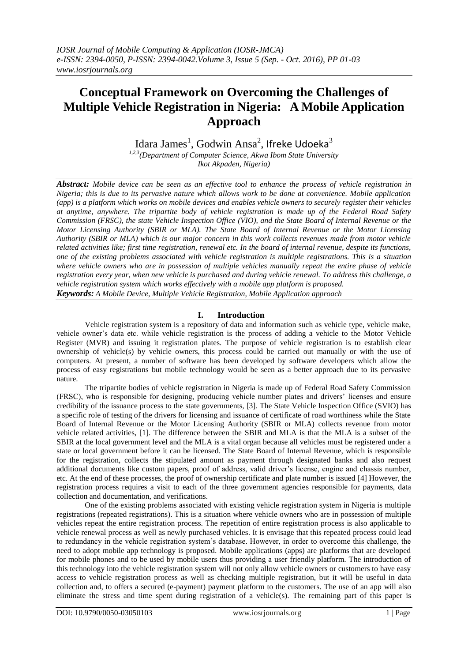# **Conceptual Framework on Overcoming the Challenges of Multiple Vehicle Registration in Nigeria: A Mobile Application Approach**

Idara James $^1$ , Godwin Ansa $^2$ , Ifreke Udoeka $^3$ 

*1,2,3(Department of Computer Science, Akwa Ibom State University Ikot Akpaden, Nigeria)*

*Abstract: Mobile device can be seen as an effective tool to enhance the process of vehicle registration in Nigeria; this is due to its pervasive nature which allows work to be done at convenience. Mobile application (app) is a platform which works on mobile devices and enables vehicle owners to securely register their vehicles at anytime, anywhere. The tripartite body of vehicle registration is made up of the Federal Road Safety Commission (FRSC), the state Vehicle Inspection Office (VIO), and the State Board of Internal Revenue or the Motor Licensing Authority (SBIR or MLA). The State Board of Internal Revenue or the Motor Licensing Authority (SBIR or MLA) which is our major concern in this work collects revenues made from motor vehicle related activities like; first time registration, renewal etc. In the board of internal revenue, despite its functions, one of the existing problems associated with vehicle registration is multiple registrations. This is a situation where vehicle owners who are in possession of multiple vehicles manually repeat the entire phase of vehicle registration every year, when new vehicle is purchased and during vehicle renewal. To address this challenge, a vehicle registration system which works effectively with a mobile app platform is proposed. Keywords: A Mobile Device, Multiple Vehicle Registration, Mobile Application approach*

**I. Introduction**

Vehicle registration system is a repository of data and information such as vehicle type, vehicle make, vehicle owner's data etc. while vehicle registration is the process of adding a vehicle to the Motor Vehicle Register (MVR) and issuing it registration plates. The purpose of vehicle registration is to establish clear ownership of vehicle(s) by vehicle owners, this process could be carried out manually or with the use of computers. At present, a number of software has been developed by software developers which allow the process of easy registrations but mobile technology would be seen as a better approach due to its pervasive nature.

The tripartite bodies of vehicle registration in Nigeria is made up of Federal Road Safety Commission (FRSC), who is responsible for designing, producing vehicle number plates and drivers' licenses and ensure credibility of the issuance process to the state governments, [3]. The State Vehicle Inspection Office (SVIO) has a specific role of testing of the drivers for licensing and issuance of certificate of road worthiness while the State Board of Internal Revenue or the Motor Licensing Authority (SBIR or MLA) collects revenue from motor vehicle related activities, [1]. The difference between the SBIR and MLA is that the MLA is a subset of the SBIR at the local government level and the MLA is a vital organ because all vehicles must be registered under a state or local government before it can be licensed. The State Board of Internal Revenue, which is responsible for the registration, collects the stipulated amount as payment through designated banks and also request additional documents like custom papers, proof of address, valid driver's license, engine and chassis number, etc. At the end of these processes, the proof of ownership certificate and plate number is issued [4] However, the registration process requires a visit to each of the three government agencies responsible for payments, data collection and documentation, and verifications.

One of the existing problems associated with existing vehicle registration system in Nigeria is multiple registrations (repeated registrations). This is a situation where vehicle owners who are in possession of multiple vehicles repeat the entire registration process. The repetition of entire registration process is also applicable to vehicle renewal process as well as newly purchased vehicles. It is envisage that this repeated process could lead to redundancy in the vehicle registration system's database. However, in order to overcome this challenge, the need to adopt mobile app technology is proposed. Mobile applications (apps) are platforms that are developed for mobile phones and to be used by mobile users thus providing a user friendly platform. The introduction of this technology into the vehicle registration system will not only allow vehicle owners or customers to have easy access to vehicle registration process as well as checking multiple registration, but it will be useful in data collection and, to offers a secured (e-payment) payment platform to the customers. The use of an app will also eliminate the stress and time spent during registration of a vehicle(s). The remaining part of this paper is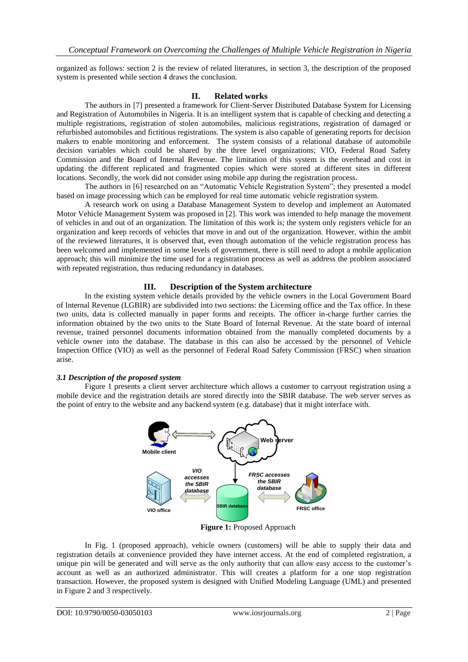organized as follows: section 2 is the review of related literatures, in section 3, the description of the proposed system is presented while section 4 draws the conclusion.

## **II. Related works**

The authors in [7] presented a framework for Client-Server Distributed Database System for Licensing and Registration of Automobiles in Nigeria. It is an intelligent system that is capable of checking and detecting a multiple registrations, registration of stolen automobiles, malicious registrations, registration of damaged or refurbished automobiles and fictitious registrations. The system is also capable of generating reports for decision makers to enable monitoring and enforcement. The system consists of a relational database of automobile decision variables which could be shared by the three level organizations; VIO, Federal Road Safety Commission and the Board of Internal Revenue. The limitation of this system is the overhead and cost in updating the different replicated and fragmented copies which were stored at different sites in different locations. Secondly, the work did not consider using mobile app during the registration process.

The authors in [6] researched on an "Automatic Vehicle Registration System"; they presented a model based on image processing which can be employed for real time automatic vehicle registration system.

A research work on using a Database Management System to develop and implement an Automated Motor Vehicle Management System was proposed in [2]. This work was intended to help manage the movement of vehicles in and out of an organization. The limitation of this work is; the system only registers vehicle for an organization and keep records of vehicles that move in and out of the organization. However, within the ambit of the reviewed literatures, it is observed that, even though automation of the vehicle registration process has been welcomed and implemented in some levels of government, there is still need to adopt a mobile application approach; this will minimize the time used for a registration process as well as address the problem associated with repeated registration, thus reducing redundancy in databases.

## **III. Description of the System architecture**

In the existing system vehicle details provided by the vehicle owners in the Local Government Board of Internal Revenue (LGBIR) are subdivided into two sections: the Licensing office and the Tax office. In these two units, data is collected manually in paper forms and receipts. The officer in-charge further carries the information obtained by the two units to the State Board of Internal Revenue. At the state board of internal revenue, trained personnel documents information obtained from the manually completed documents by a vehicle owner into the database. The database in this can also be accessed by the personnel of Vehicle Inspection Office (VIO) as well as the personnel of Federal Road Safety Commission (FRSC) when situation arise.

#### *3.1 Description of the proposed system*

Figure 1 presents a client server architecture which allows a customer to carryout registration using a mobile device and the registration details are stored directly into the SBIR database. The web server serves as the point of entry to the website and any backend system (e.g. database) that it might interface with.



**Figure 1:** Proposed Approach

In Fig. 1 (proposed approach), vehicle owners (customers) will be able to supply their data and registration details at convenience provided they have internet access. At the end of completed registration, a unique pin will be generated and will serve as the only authority that can allow easy access to the customer's account as well as an authorized administrator. This will creates a platform for a one stop registration transaction. However, the proposed system is designed with Unified Modeling Language (UML) and presented in Figure 2 and 3 respectively.